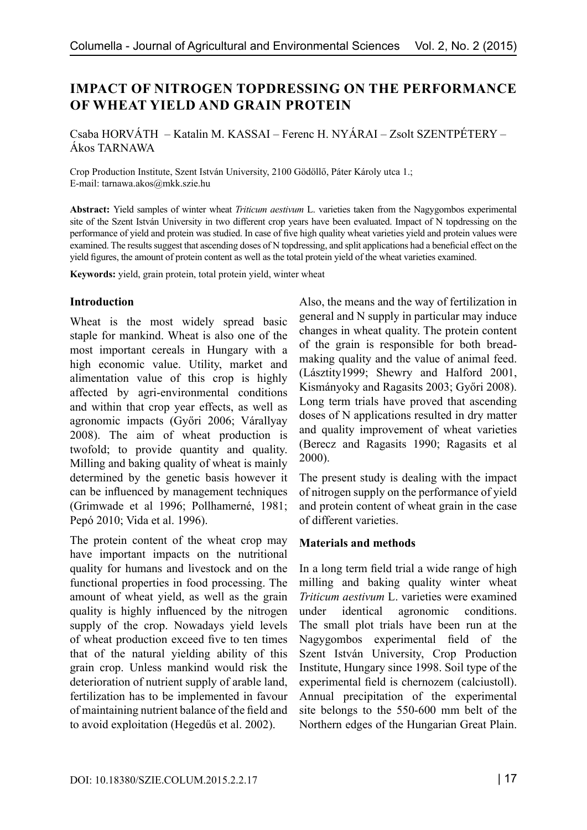# **IMPACT OF NITROGEN TOPDRESSING ON THE PERFORMANCE OF WHEAT YIELD AND GRAIN PROTEIN**

Csaba HORVÁTH – Katalin M. KASSAI – Ferenc H. NYÁRAI – Zsolt SZENTPÉTERY – Ákos TARNAWA

Crop Production Institute, Szent István University, 2100 Gödöllő, Páter Károly utca 1.; E-mail: tarnawa.akos@mkk.szie.hu

**Abstract:** Yield samples of winter wheat *Triticum aestivum* L. varieties taken from the Nagygombos experimental site of the Szent István University in two different crop years have been evaluated. Impact of N topdressing on the performance of yield and protein was studied. In case of five high quality wheat varieties yield and protein values were examined. The results suggest that ascending doses of N topdressing, and split applications had a beneficial effect on the yield figures, the amount of protein content as well as the total protein yield of the wheat varieties examined.

**Keywords:** yield, grain protein, total protein yield, winter wheat

### **Introduction**

Wheat is the most widely spread basic staple for mankind. Wheat is also one of the most important cereals in Hungary with a high economic value. Utility, market and alimentation value of this crop is highly affected by agri-environmental conditions and within that crop year effects, as well as agronomic impacts (Győri 2006; Várallyay 2008). The aim of wheat production is twofold; to provide quantity and quality. Milling and baking quality of wheat is mainly determined by the genetic basis however it can be influenced by management techniques (Grimwade et al 1996; Pollhamerné, 1981; Pepó 2010; Vida et al. 1996).

The protein content of the wheat crop may have important impacts on the nutritional quality for humans and livestock and on the functional properties in food processing. The amount of wheat yield, as well as the grain quality is highly influenced by the nitrogen supply of the crop. Nowadays yield levels of wheat production exceed five to ten times that of the natural yielding ability of this grain crop. Unless mankind would risk the deterioration of nutrient supply of arable land, fertilization has to be implemented in favour of maintaining nutrient balance of the field and to avoid exploitation (Hegedűs et al. 2002).

Also, the means and the way of fertilization in general and N supply in particular may induce changes in wheat quality. The protein content of the grain is responsible for both breadmaking quality and the value of animal feed. (Lásztity1999; Shewry and Halford 2001, Kismányoky and Ragasits 2003; Győri 2008). Long term trials have proved that ascending doses of N applications resulted in dry matter and quality improvement of wheat varieties (Berecz and Ragasits 1990; Ragasits et al 2000).

The present study is dealing with the impact of nitrogen supply on the performance of yield and protein content of wheat grain in the case of different varieties.

### **Materials and methods**

In a long term field trial a wide range of high milling and baking quality winter wheat *Triticum aestivum* L. varieties were examined under identical agronomic conditions. The small plot trials have been run at the Nagygombos experimental field of the Szent István University, Crop Production Institute, Hungary since 1998. Soil type of the experimental field is chernozem (calciustoll). Annual precipitation of the experimental site belongs to the 550-600 mm belt of the Northern edges of the Hungarian Great Plain.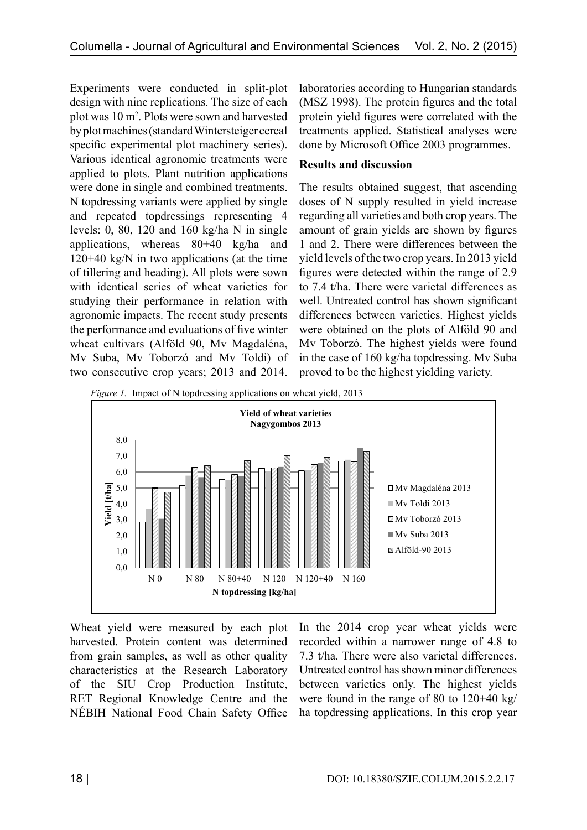Experiments were conducted in split-plot design with nine replications. The size of each plot was 10 m2 . Plots were sown and harvested by plot machines (standard Wintersteiger cereal specific experimental plot machinery series). Various identical agronomic treatments were applied to plots. Plant nutrition applications were done in single and combined treatments. N topdressing variants were applied by single and repeated topdressings representing 4 levels: 0, 80, 120 and 160 kg/ha N in single applications, whereas 80+40 kg/ha and 120+40 kg/N in two applications (at the time of tillering and heading). All plots were sown with identical series of wheat varieties for studying their performance in relation with agronomic impacts. The recent study presents the performance and evaluations of five winter wheat cultivars (Alföld 90, Mv Magdaléna, Mv Suba, Mv Toborzó and Mv Toldi) of two consecutive crop years; 2013 and 2014.

laboratories according to Hungarian standards (MSZ 1998). The protein figures and the total protein yield figures were correlated with the treatments applied. Statistical analyses were done by Microsoft Office 2003 programmes.

## **Results and discussion**

The results obtained suggest, that ascending doses of N supply resulted in yield increase regarding all varieties and both crop years. The amount of grain yields are shown by figures 1 and 2. There were differences between the yield levels of the two crop years. In 2013 yield figures were detected within the range of 2.9 to 7.4 t/ha. There were varietal differences as well. Untreated control has shown significant differences between varieties. Highest yields were obtained on the plots of Alföld 90 and Mv Toborzó. The highest yields were found in the case of 160 kg/ha topdressing. Mv Suba proved to be the highest yielding variety.

*Figure 1.* Impact of N topdressing applications on wheat yield, 2013



Wheat yield were measured by each plot harvested. Protein content was determined from grain samples, as well as other quality characteristics at the Research Laboratory of the SIU Crop Production Institute, RET Regional Knowledge Centre and the NÉBIH National Food Chain Safety Office In the 2014 crop year wheat yields were recorded within a narrower range of 4.8 to 7.3 t/ha. There were also varietal differences. Untreated control has shown minor differences between varieties only. The highest yields were found in the range of 80 to 120+40 kg/ ha topdressing applications. In this crop year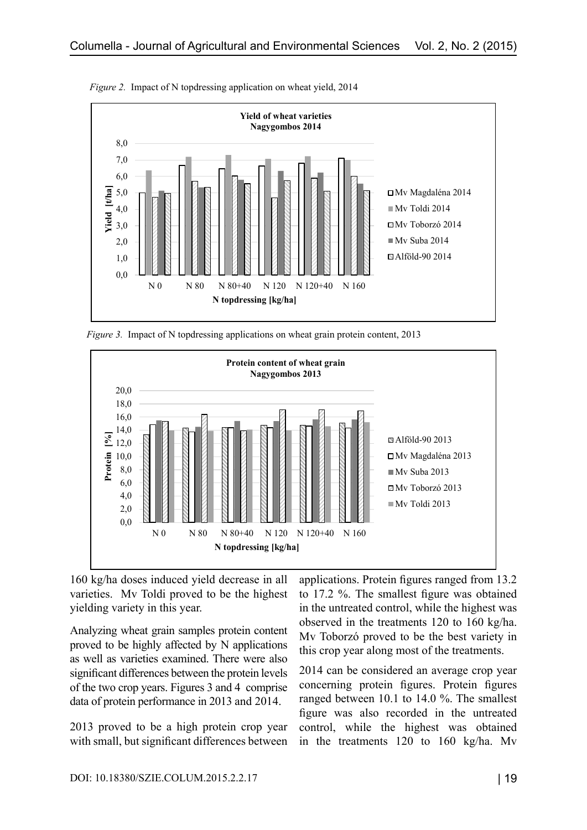

*Figure 2.* Impact of N topdressing application on wheat yield, 2014

*Figure 3.* Impact of N topdressing applications on wheat grain protein content, 2013



160 kg/ha doses induced yield decrease in all varieties. Mv Toldi proved to be the highest yielding variety in this year.

Analyzing wheat grain samples protein content proved to be highly affected by N applications as well as varieties examined. There were also significant differences between the protein levels of the two crop years. Figures 3 and 4 comprise data of protein performance in 2013 and 2014.

2013 proved to be a high protein crop year with small, but significant differences between applications. Protein figures ranged from 13.2 to 17.2 %. The smallest figure was obtained in the untreated control, while the highest was observed in the treatments 120 to 160 kg/ha. Mv Toborzó proved to be the best variety in this crop year along most of the treatments.

2014 can be considered an average crop year concerning protein figures. Protein figures ranged between 10.1 to 14.0 %. The smallest figure was also recorded in the untreated control, while the highest was obtained in the treatments 120 to 160 kg/ha. Mv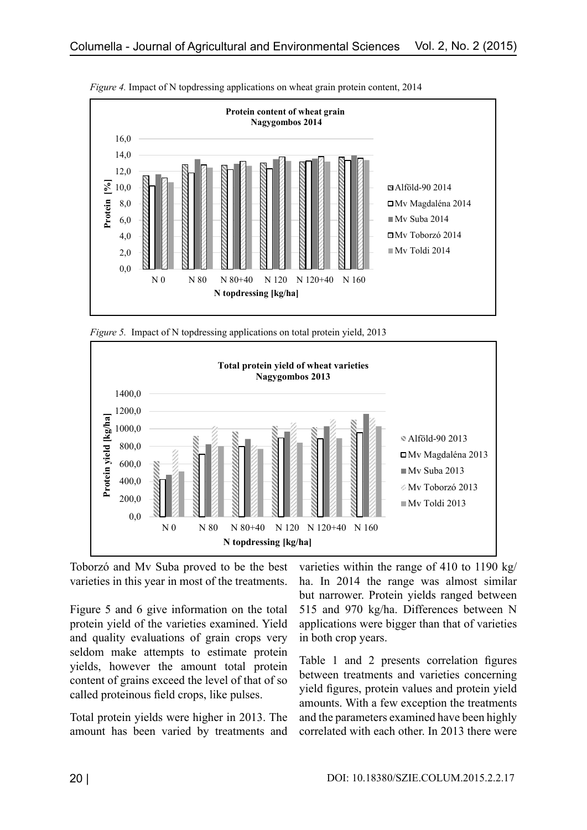

*Figure 4.* Impact of N topdressing applications on wheat grain protein content, 2014





Toborzó and Mv Suba proved to be the best varieties in this year in most of the treatments.

Figure 5 and 6 give information on the total protein yield of the varieties examined. Yield and quality evaluations of grain crops very seldom make attempts to estimate protein yields, however the amount total protein content of grains exceed the level of that of so called proteinous field crops, like pulses.

Total protein yields were higher in 2013. The amount has been varied by treatments and varieties within the range of 410 to 1190 kg/ ha. In 2014 the range was almost similar but narrower. Protein yields ranged between 515 and 970 kg/ha. Differences between N applications were bigger than that of varieties in both crop years.

Table 1 and 2 presents correlation figures between treatments and varieties concerning yield figures, protein values and protein yield amounts. With a few exception the treatments and the parameters examined have been highly correlated with each other. In 2013 there were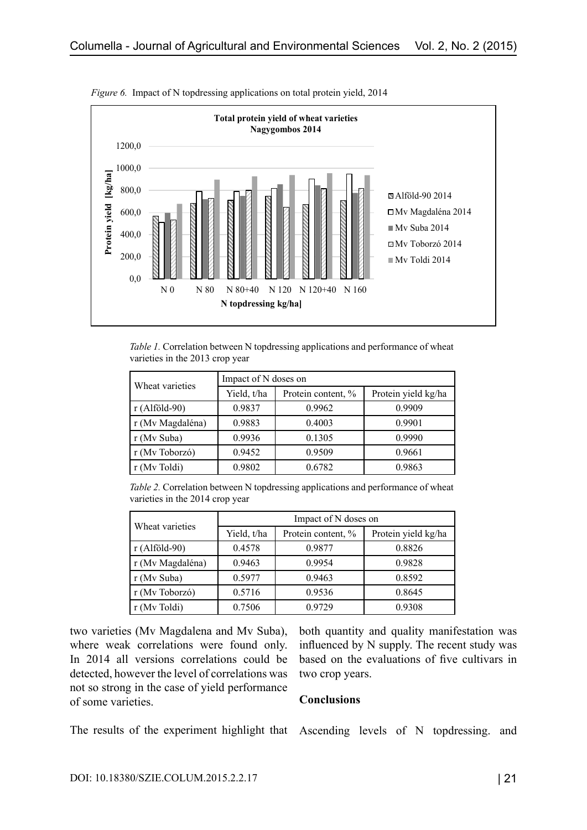

*Figure 6.* Impact of N topdressing applications on total protein yield, 2014

*Table 1.* Correlation between N topdressing applications and performance of wheat varieties in the 2013 crop year

| Wheat varieties  | Impact of N doses on |                    |                     |  |
|------------------|----------------------|--------------------|---------------------|--|
|                  | Yield, t/ha          | Protein content, % | Protein yield kg/ha |  |
| $r$ (Alföld-90)  | 0.9837               | 0.9962             | 0.9909              |  |
| r (Mv Magdaléna) | 0.9883               | 0.4003             | 0.9901              |  |
| r (Mv Suba)      | 0.9936               | 0.1305             | 0.9990              |  |
| r (Mv Toborzó)   | 0.9452               | 0.9509             | 0.9661              |  |
| r (Mv Toldi)     | 0.9802               | 0.6782             | 0.9863              |  |

*Table 2.* Correlation between N topdressing applications and performance of wheat varieties in the 2014 crop year

| Wheat varieties  | Impact of N doses on |                    |                     |  |
|------------------|----------------------|--------------------|---------------------|--|
|                  | Yield, t/ha          | Protein content, % | Protein yield kg/ha |  |
| $r$ (Alföld-90)  | 0.4578               | 0.9877             | 0.8826              |  |
| r (Mv Magdaléna) | 0.9463               | 0.9954             | 0.9828              |  |
| r (Mv Suba)      | 0.5977               | 0.9463             | 0.8592              |  |
| r (Mv Toborzó)   | 0.5716               | 0.9536             | 0.8645              |  |
| r (My Toldi)     | 0.7506               | 0.9729             | 0.9308              |  |

two varieties (Mv Magdalena and Mv Suba), where weak correlations were found only. In 2014 all versions correlations could be detected, however the level of correlations was not so strong in the case of yield performance of some varieties.

both quantity and quality manifestation was influenced by N supply. The recent study was based on the evaluations of five cultivars in two crop years.

#### **Conclusions**

The results of the experiment highlight that Ascending levels of N topdressing. and